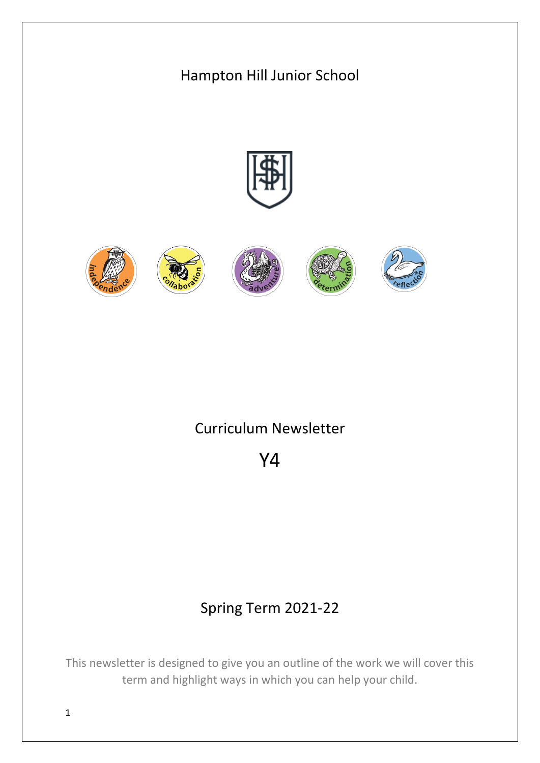

This newsletter is designed to give you an outline of the work we will cover this term and highlight ways in which you can help your child.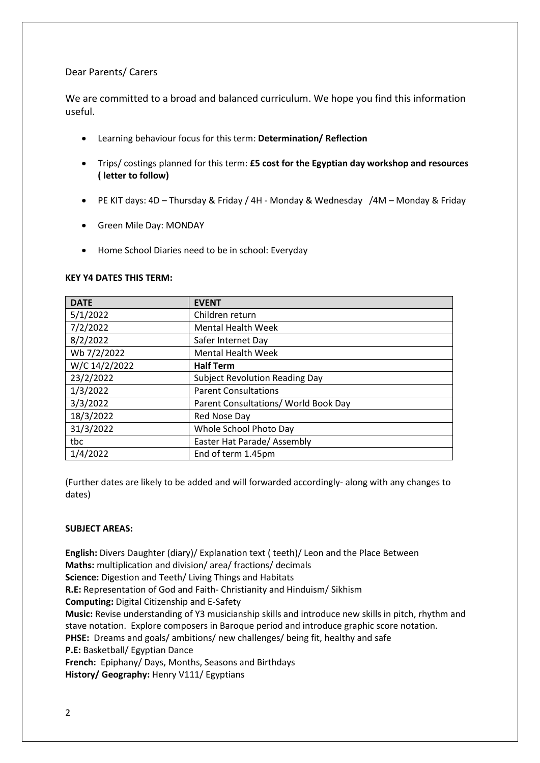## Dear Parents/ Carers

We are committed to a broad and balanced curriculum. We hope you find this information useful.

- Learning behaviour focus for this term: **Determination/ Reflection**
- Trips/ costings planned for this term: **£5 cost for the Egyptian day workshop and resources ( letter to follow)**
- PE KIT days: 4D Thursday & Friday / 4H Monday & Wednesday /4M Monday & Friday
- Green Mile Day: MONDAY
- Home School Diaries need to be in school: Everyday

| <b>DATE</b>   | <b>EVENT</b>                          |
|---------------|---------------------------------------|
| 5/1/2022      | Children return                       |
| 7/2/2022      | <b>Mental Health Week</b>             |
| 8/2/2022      | Safer Internet Day                    |
| Wb 7/2/2022   | <b>Mental Health Week</b>             |
| W/C 14/2/2022 | <b>Half Term</b>                      |
| 23/2/2022     | <b>Subject Revolution Reading Day</b> |
| 1/3/2022      | <b>Parent Consultations</b>           |
| 3/3/2022      | Parent Consultations/ World Book Day  |
| 18/3/2022     | Red Nose Day                          |
| 31/3/2022     | Whole School Photo Day                |
| tbc           | Easter Hat Parade/ Assembly           |
| 1/4/2022      | End of term 1.45pm                    |

## **KEY Y4 DATES THIS TERM:**

(Further dates are likely to be added and will forwarded accordingly- along with any changes to dates)

## **SUBJECT AREAS:**

**English:** Divers Daughter (diary)/ Explanation text ( teeth)/ Leon and the Place Between **Maths:** multiplication and division/ area/ fractions/ decimals **Science:** Digestion and Teeth/ Living Things and Habitats **R.E:** Representation of God and Faith- Christianity and Hinduism/ Sikhism **Computing:** Digital Citizenship and E-Safety **Music:** Revise understanding of Y3 musicianship skills and introduce new skills in pitch, rhythm and stave notation. Explore composers in Baroque period and introduce graphic score notation. **PHSE:** Dreams and goals/ ambitions/ new challenges/ being fit, healthy and safe **P.E:** Basketball/ Egyptian Dance **French:** Epiphany/ Days, Months, Seasons and Birthdays **History/ Geography:** Henry V111/ Egyptians